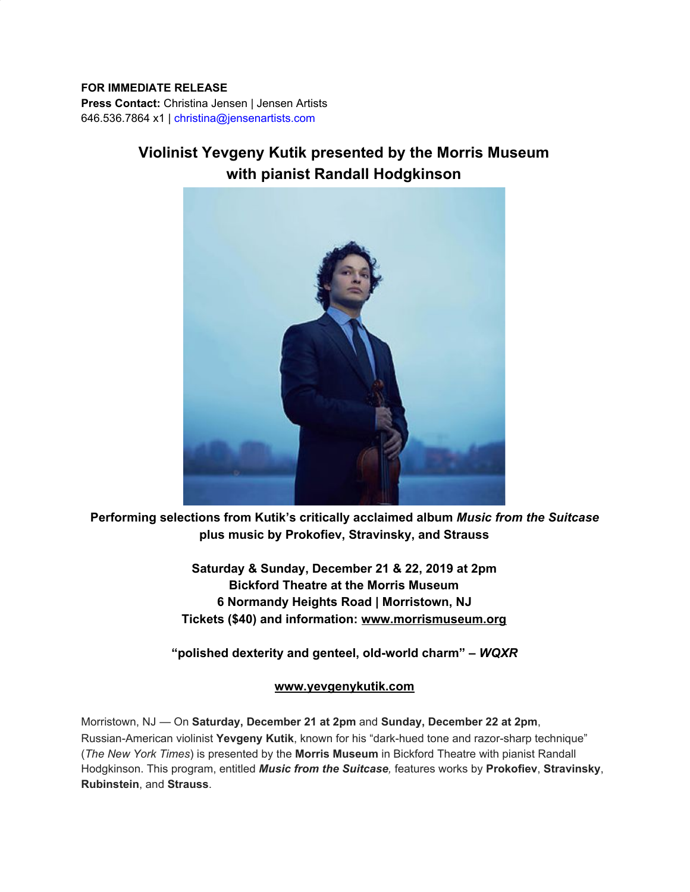## **FOR IMMEDIATE RELEASE Press Contact:** Christina Jensen | Jensen Artists

646.536.7864 x1 | christina@jensenartists.com

## **Violinist Yevgeny Kutik presented by the Morris Museum with pianist Randall Hodgkinson**



**Performing selections from Kutik's critically acclaimed album** *Music from the Suitcase* **plus music by Prokofiev, Stravinsky, and Strauss**

> **Saturday & Sunday, December 21 & 22, 2019 at 2pm Bickford Theatre at the Morris Museum 6 Normandy Heights Road | Morristown, NJ Tickets (\$40) and information: [www.morrismuseum.org](https://u7061146.ct.sendgrid.net/wf/click?upn=G62jSYfZdO-2F12d8lSllQB8bKdIyYI8hklmZ71TbZXEVSOGSrVnzBbrgp-2F4Sn9KZHQIvnEzudvd2ZjyiWol0B2w-3D-3D_DruDjhchMBr5xQkz3h1qcOnjZc-2BCsAVhraQ7DxYhbA2-2BHLQf-2BHKWaWi2FTM7QHo-2Fd7eCMDRMAhfd2mcWSs-2FpzNW9MmuPwV7rH-2FbDd7DdSSYiPcfcNmcEQA6I2iW7vpIxwftKxrFLErz-2F0Eo9oZ6vVnPNYOUdAnkb3aw9upcof3ZdqhlNWh-2F6fB1756NbDCwugGnZ0a-2Fe1WB4feMUXyilP00ms4hfRI-2BKdw3UTErnBBY0EX7pMg012EVXRVKWel-2FWynuvCD-2FRtYHXqrdK6PENYmyeI2OxagrAaUqxZ2iLEgwnFu1cdDnwnap4-2FuN2WEIjEmVdKF-2BYfshiRXmW7kNBDg6RWptTxY7e3qRLWCrZrCE-3D)**

**"polished dexterity and genteel, old-world charm" –** *WQXR*

## **[www.yevgenykutik.com](https://u7061146.ct.sendgrid.net/wf/click?upn=84Em28S1K9SvtzcUtu04EmnffF6ORtH8XWxNecXmaifvwrk79bh3JuPdCdVv5NbA_DruDjhchMBr5xQkz3h1qcOnjZc-2BCsAVhraQ7DxYhbA2-2BHLQf-2BHKWaWi2FTM7QHo-2Fd7eCMDRMAhfd2mcWSs-2FpzNW9MmuPwV7rH-2FbDd7DdSSYiPcfcNmcEQA6I2iW7vpIxwftKxrFLErz-2F0Eo9oZ6vVnPNYOUdAnkb3aw9upcof3ZdqhlNWh-2F6fB1756NbDCwugGnZ0a-2Fe1WB4feMUXyilP1q-2FoJiv-2BEU2RFVoCg-2FZ-2FIm8q24ApL1MJsxraQJMFZOO8tcpq6EzD7mtzqUTPoTePfi87oImbXe8DG7pbWcQc0k3z-2BSW-2F0E7CPVy7D5U9GmMdEsrqgS3o0JUj6qMhq-2BW11ptFfEpbi32AWnmlS12ZWY-3D)**

Morristown, NJ — On **Saturday, December 21 at 2pm** and **Sunday, December 22 at 2pm**, Russian-American violinist **Yevgeny Kutik**, known for his "dark-hued tone and razor-sharp technique" (*The New York Times*) is presented by the **Morris Museum** in Bickford Theatre with pianist Randall Hodgkinson. This program, entitled *Music from the Suitcase,* features works by **Prokofiev**, **Stravinsky**, **Rubinstein**, and **Strauss**.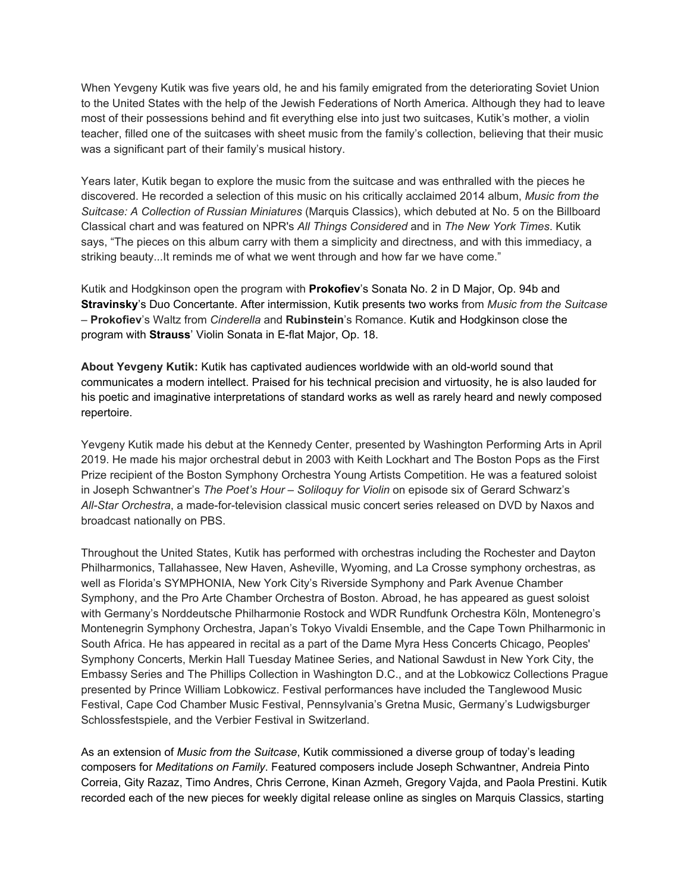When Yevgeny Kutik was five years old, he and his family emigrated from the deteriorating Soviet Union to the United States with the help of the Jewish Federations of North America. Although they had to leave most of their possessions behind and fit everything else into just two suitcases, Kutik's mother, a violin teacher, filled one of the suitcases with sheet music from the family's collection, believing that their music was a significant part of their family's musical history.

Years later, Kutik began to explore the music from the suitcase and was enthralled with the pieces he discovered. He recorded a selection of this music on his critically acclaimed 2014 album, *Music from the Suitcase: A Collection of Russian Miniatures* (Marquis Classics), which debuted at No. 5 on the Billboard Classical chart and was featured on NPR's *All Things Considered* and in *The New York Times*. Kutik says, "The pieces on this album carry with them a simplicity and directness, and with this immediacy, a striking beauty...It reminds me of what we went through and how far we have come."

Kutik and Hodgkinson open the program with **Prokofiev**'s Sonata No. 2 in D Major, Op. 94b and **Stravinsky**'s Duo Concertante. After intermission, Kutik presents two works from *Music from the Suitcase* – **Prokofiev**'s Waltz from *Cinderella* and **Rubinstein**'s Romance. Kutik and Hodgkinson close the program with **Strauss**' Violin Sonata in E-flat Major, Op. 18.

**About Yevgeny Kutik:** Kutik has captivated audiences worldwide with an old-world sound that communicates a modern intellect. Praised for his technical precision and virtuosity, he is also lauded for his poetic and imaginative interpretations of standard works as well as rarely heard and newly composed repertoire.

Yevgeny Kutik made his debut at the Kennedy Center, presented by Washington Performing Arts in April 2019. He made his major orchestral debut in 2003 with Keith Lockhart and The Boston Pops as the First Prize recipient of the Boston Symphony Orchestra Young Artists Competition. He was a featured soloist in Joseph Schwantner's *The Poet's Hour – Soliloquy for Violin* on episode six of Gerard Schwarz's *All-Star Orchestra*, a made-for-television classical music concert series released on DVD by Naxos and broadcast nationally on PBS.

Throughout the United States, Kutik has performed with orchestras including the Rochester and Dayton Philharmonics, Tallahassee, New Haven, Asheville, Wyoming, and La Crosse symphony orchestras, as well as Florida's SYMPHONIA, New York City's Riverside Symphony and Park Avenue Chamber Symphony, and the Pro Arte Chamber Orchestra of Boston. Abroad, he has appeared as guest soloist with Germany's Norddeutsche Philharmonie Rostock and WDR Rundfunk Orchestra Köln, Montenegro's Montenegrin Symphony Orchestra, Japan's Tokyo Vivaldi Ensemble, and the Cape Town Philharmonic in South Africa. He has appeared in recital as a part of the Dame Myra Hess Concerts Chicago, Peoples' Symphony Concerts, Merkin Hall Tuesday Matinee Series, and National Sawdust in New York City, the Embassy Series and The Phillips Collection in Washington D.C., and at the Lobkowicz Collections Prague presented by Prince William Lobkowicz. Festival performances have included the Tanglewood Music Festival, Cape Cod Chamber Music Festival, Pennsylvania's Gretna Music, Germany's Ludwigsburger Schlossfestspiele, and the Verbier Festival in Switzerland.

As an extension of *Music from the Suitcase*, Kutik commissioned a diverse group of today's leading composers for *Meditations on Family*. Featured composers include Joseph Schwantner, Andreia Pinto Correia, Gity Razaz, Timo Andres, Chris Cerrone, Kinan Azmeh, Gregory Vajda, and Paola Prestini. Kutik recorded each of the new pieces for weekly digital release online as singles on Marquis Classics, starting